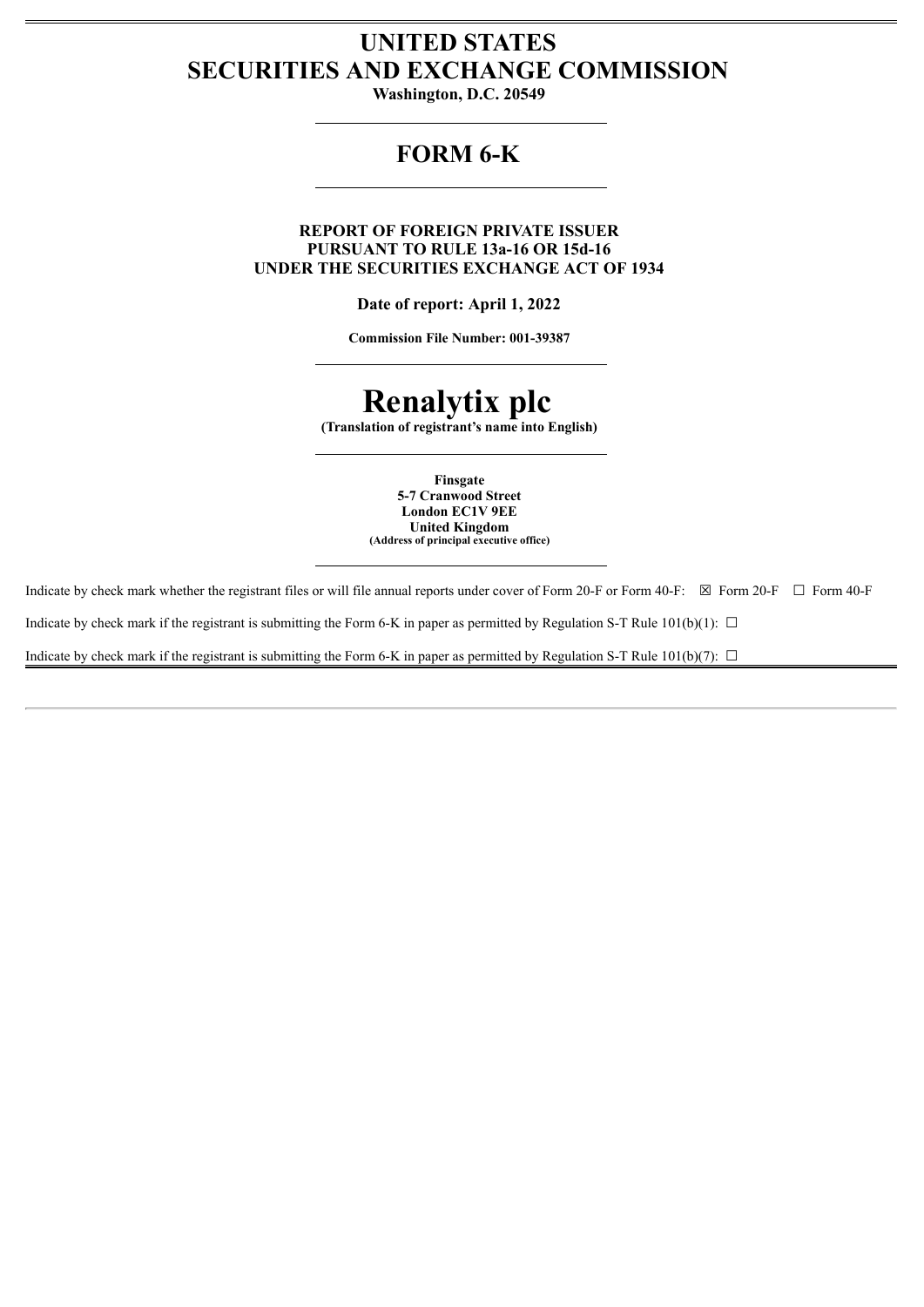# **UNITED STATES SECURITIES AND EXCHANGE COMMISSION**

**Washington, D.C. 20549**

# **FORM 6-K**

**REPORT OF FOREIGN PRIVATE ISSUER PURSUANT TO RULE 13a-16 OR 15d-16 UNDER THE SECURITIES EXCHANGE ACT OF 1934**

**Date of report: April 1, 2022**

**Commission File Number: 001-39387**

# **Renalytix plc**

**(Translation of registrant's name into English)**

**Finsgate 5-7 Cranwood Street London EC1V 9EE United Kingdom (Address of principal executive office)**

Indicate by check mark whether the registrant files or will file annual reports under cover of Form 20-F or Form 40-F: ☒ Form 20-F ☐ Form 40-F Indicate by check mark if the registrant is submitting the Form 6-K in paper as permitted by Regulation S-T Rule 101(b)(1):  $\Box$ Indicate by check mark if the registrant is submitting the Form 6-K in paper as permitted by Regulation S-T Rule  $101(b)(7)$ :  $\Box$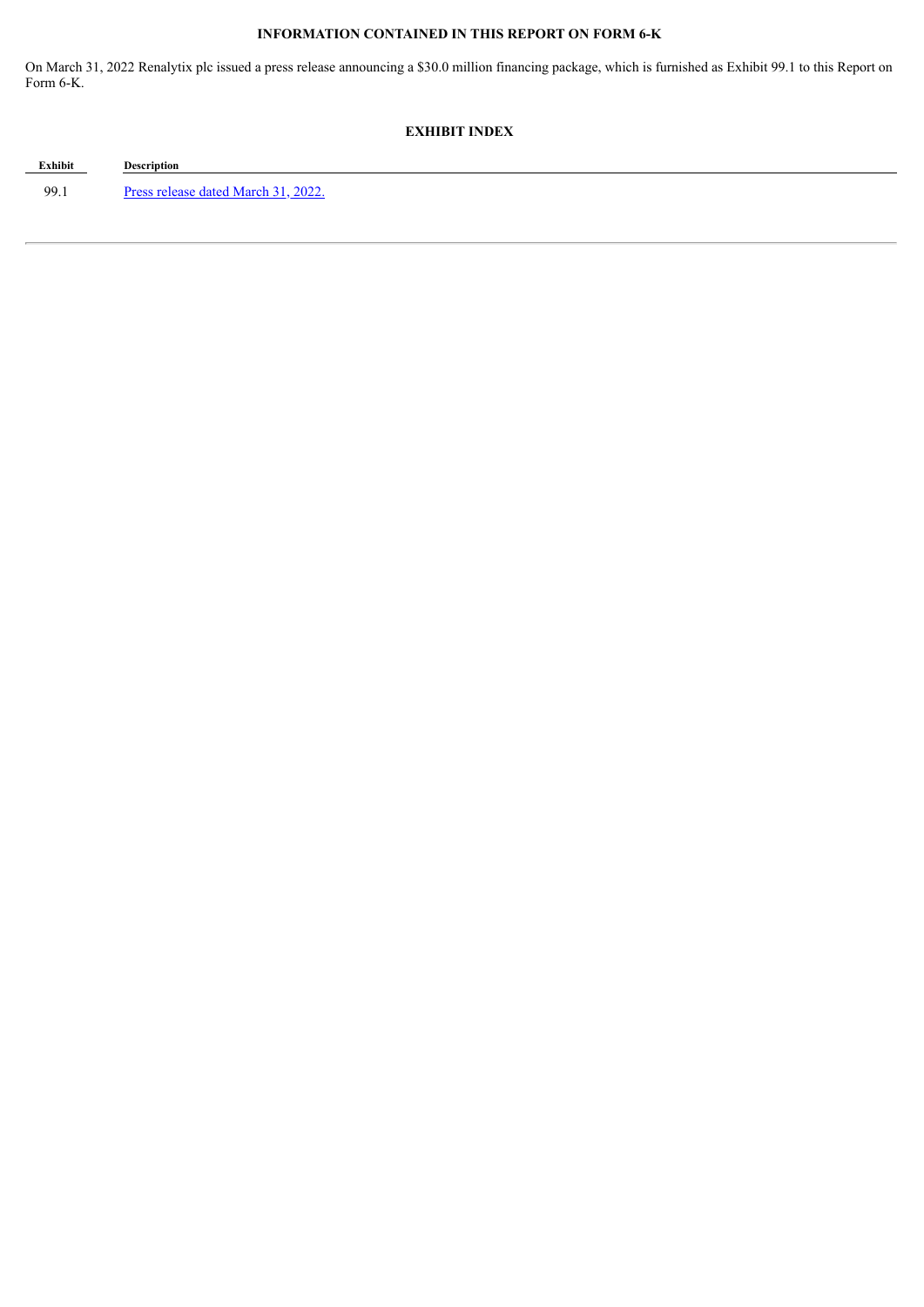# **INFORMATION CONTAINED IN THIS REPORT ON FORM 6-K**

On March 31, 2022 Renalytix plc issued a press release announcing a \$30.0 million financing package, which is furnished as Exhibit 99.1 to this Report on Form 6-K.

# **EXHIBIT INDEX**

**Exhibit Description** 99.1 Press [release](#page-3-0) dated March 31, 2022.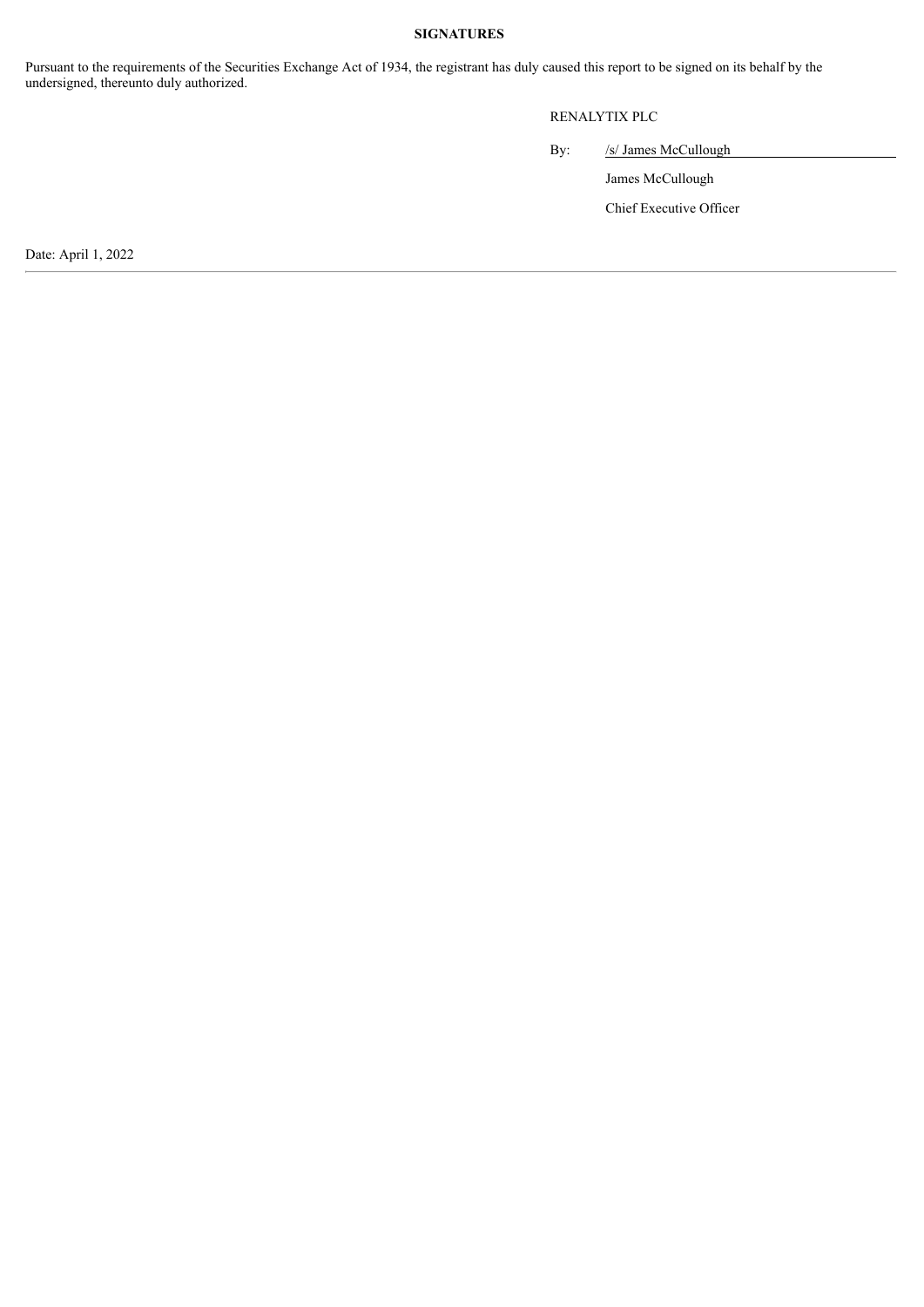#### **SIGNATURES**

Pursuant to the requirements of the Securities Exchange Act of 1934, the registrant has duly caused this report to be signed on its behalf by the undersigned, thereunto duly authorized.

# RENALYTIX PLC

By: /s/ James McCullough

James McCullough

Chief Executive Officer

Date: April 1, 2022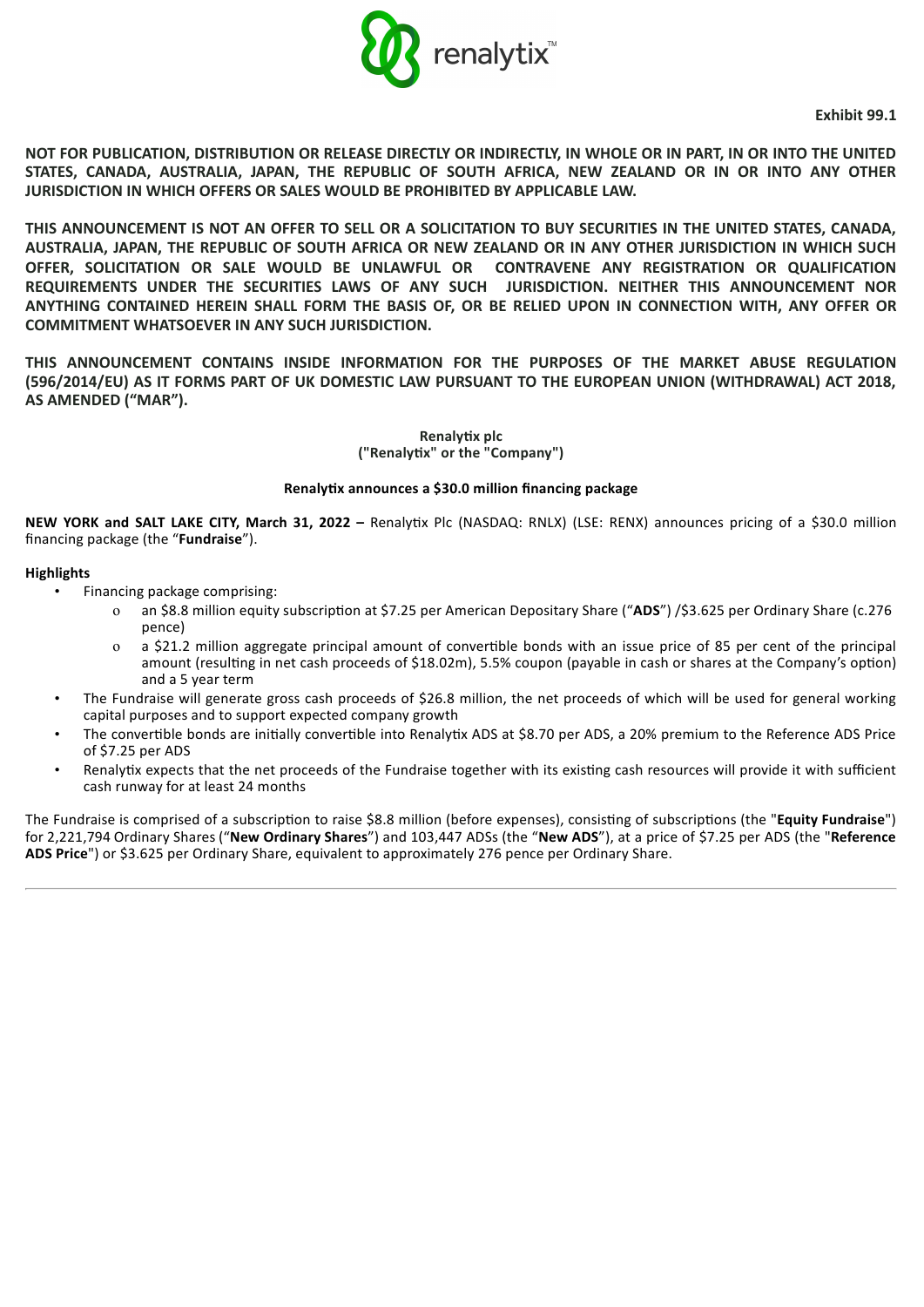

**Exhibit 99.1**

<span id="page-3-0"></span>**NOT FOR PUBLICATION, DISTRIBUTION OR RELEASE DIRECTLY OR INDIRECTLY, IN WHOLE OR IN PART, IN OR INTO THE UNITED STATES, CANADA, AUSTRALIA, JAPAN, THE REPUBLIC OF SOUTH AFRICA, NEW ZEALAND OR IN OR INTO ANY OTHER JURISDICTION IN WHICH OFFERS OR SALES WOULD BE PROHIBITED BY APPLICABLE LAW.**

**THIS ANNOUNCEMENT IS NOT AN OFFER TO SELL OR A SOLICITATION TO BUY SECURITIES IN THE UNITED STATES, CANADA, AUSTRALIA, JAPAN, THE REPUBLIC OF SOUTH AFRICA OR NEW ZEALAND OR IN ANY OTHER JURISDICTION IN WHICH SUCH OFFER, SOLICITATION OR SALE WOULD BE UNLAWFUL OR CONTRAVENE ANY REGISTRATION OR QUALIFICATION REQUIREMENTS UNDER THE SECURITIES LAWS OF ANY SUCH JURISDICTION. NEITHER THIS ANNOUNCEMENT NOR ANYTHING CONTAINED HEREIN SHALL FORM THE BASIS OF, OR BE RELIED UPON IN CONNECTION WITH, ANY OFFER OR COMMITMENT WHATSOEVER IN ANY SUCH JURISDICTION.**

**THIS ANNOUNCEMENT CONTAINS INSIDE INFORMATION FOR THE PURPOSES OF THE MARKET ABUSE REGULATION (596/2014/EU) AS IT FORMS PART OF UK DOMESTIC LAW PURSUANT TO THE EUROPEAN UNION (WITHDRAWAL) ACT 2018, AS AMENDED ("MAR").**

> **Renalyx plc ("Renalyx" or the "Company")**

#### **Renalyx announces a \$30.0 million financing package**

**NEW YORK and SALT LAKE CITY, March 31, 2022 –** Renalyx Plc (NASDAQ: RNLX) (LSE: RENX) announces pricing of a \$30.0 million financing package (the "**Fundraise**").

## **Highlights**

- Financing package comprising:
	- o an \$8.8 million equity subscription at \$7.25 per American Depositary Share ("ADS") /\$3.625 per Ordinary Share (c.276 pence)
	- o a \$21.2 million aggregate principal amount of converble bonds with an issue price of 85 per cent of the principal amount (resulting in net cash proceeds of \$18.02m), 5.5% coupon (payable in cash or shares at the Company's option) and a 5 year term
- The Fundraise will generate gross cash proceeds of \$26.8 million, the net proceeds of which will be used for general working capital purposes and to support expected company growth
- The convertible bonds are initially convertible into Renalytix ADS at \$8.70 per ADS, a 20% premium to the Reference ADS Price of \$7.25 per ADS
- Renalytix expects that the net proceeds of the Fundraise together with its existing cash resources will provide it with sufficient cash runway for at least 24 months

The Fundraise is comprised of a subscription to raise \$8.8 million (before expenses), consisting of subscriptions (the "Equity Fundraise") for 2,221,794 Ordinary Shares ("**New Ordinary Shares**") and 103,447 ADSs (the "**New ADS**"), at a price of \$7.25 per ADS (the "**Reference ADS Price**") or \$3.625 per Ordinary Share, equivalent to approximately 276 pence per Ordinary Share.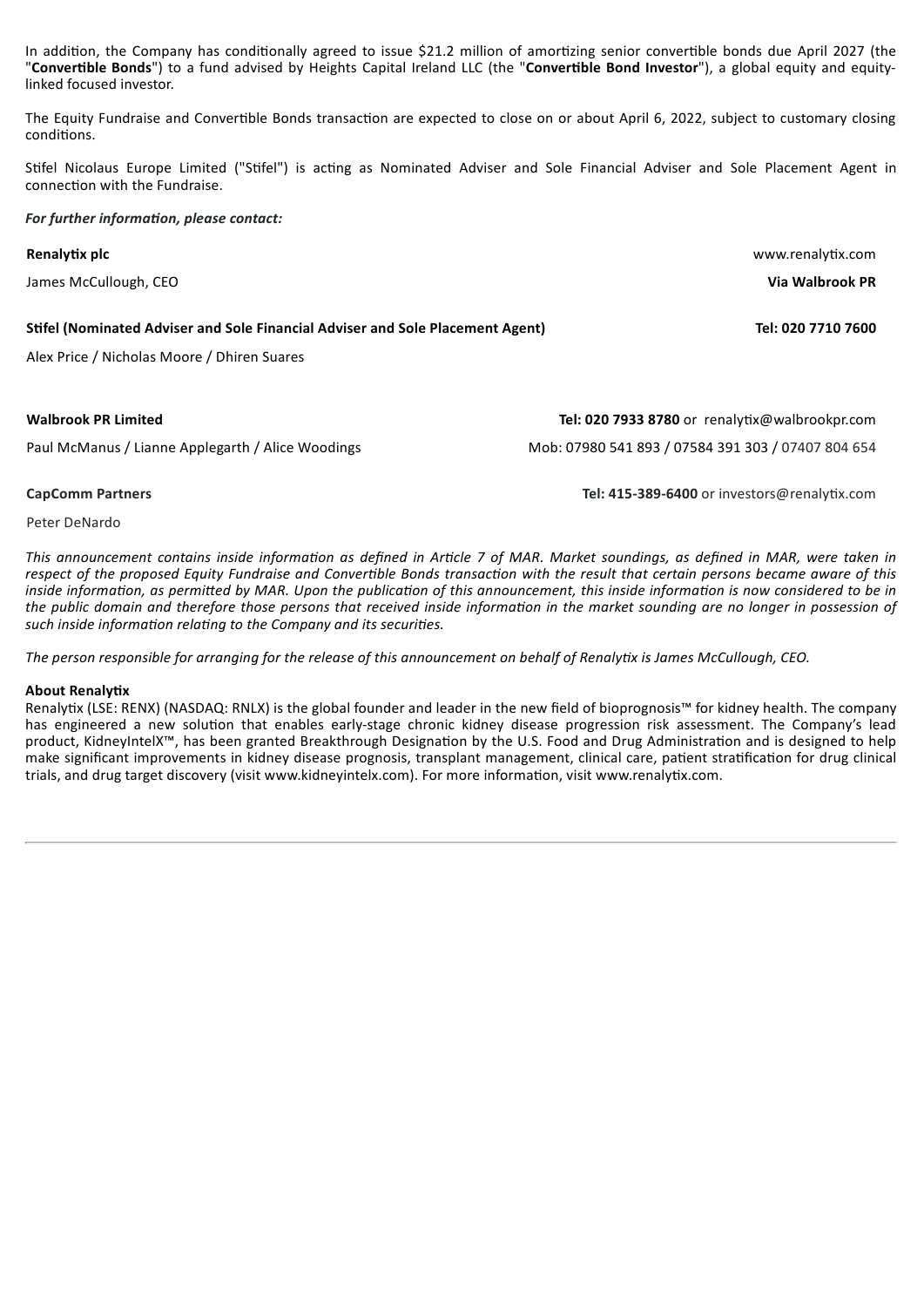In addition, the Company has conditionally agreed to issue \$21.2 million of amortizing senior convertible bonds due April 2027 (the "**Converble Bonds**") to a fund advised by Heights Capital Ireland LLC (the "**Converble Bond Investor**"), a global equity and equitylinked focused investor.

The Equity Fundraise and Convertible Bonds transaction are expected to close on or about April 6, 2022, subject to customary closing conditions.

Stifel Nicolaus Europe Limited ("Stifel") is acting as Nominated Adviser and Sole Financial Adviser and Sole Placement Agent in connection with the Fundraise.

#### *For further information, please contact:*

| Renalytix plc                                                                                                                 | www.renalytix.com                                                                                    |  |
|-------------------------------------------------------------------------------------------------------------------------------|------------------------------------------------------------------------------------------------------|--|
| James McCullough, CEO                                                                                                         | Via Walbrook PR                                                                                      |  |
| Stifel (Nominated Adviser and Sole Financial Adviser and Sole Placement Agent)<br>Alex Price / Nicholas Moore / Dhiren Suares | Tel: 020 7710 7600                                                                                   |  |
| <b>Walbrook PR Limited</b><br>Paul McManus / Lianne Applegarth / Alice Woodings                                               | Tel: 020 7933 8780 or renalytix@walbrookpr.com<br>Mob: 07980 541 893 / 07584 391 303 / 07407 804 654 |  |
| <b>CapComm Partners</b>                                                                                                       | Tel: 415-389-6400 or investors@renalytix.com                                                         |  |

Peter DeNardo

This announcement contains inside information as defined in Article 7 of MAR. Market soundings, as defined in MAR, were taken in respect of the proposed Equity Fundraise and Convertible Bonds transaction with the result that certain persons became aware of this inside information, as permitted by MAR. Upon the publication of this announcement, this inside information is now considered to be in the public domain and therefore those persons that received inside information in the market sounding are no longer in possession of  $s$ uch *inside information relating to the Company and its securities.* 

The person responsible for arranging for the release of this announcement on behalf of Renalytix is James McCullough, CEO.

#### **About Renalytix**

Renalytix (LSE: RENX) (NASDAQ: RNLX) is the global founder and leader in the new field of bioprognosis™ for kidney health. The company has engineered a new solution that enables early-stage chronic kidney disease progression risk assessment. The Company's lead product, KidneyIntelX™, has been granted Breakthrough Designation by the U.S. Food and Drug Administration and is designed to help make significant improvements in kidney disease prognosis, transplant management, clinical care, patient stratification for drug clinical trials, and drug target discovery (visit www.kidneyintelx.com). For more information, visit www.renalytix.com.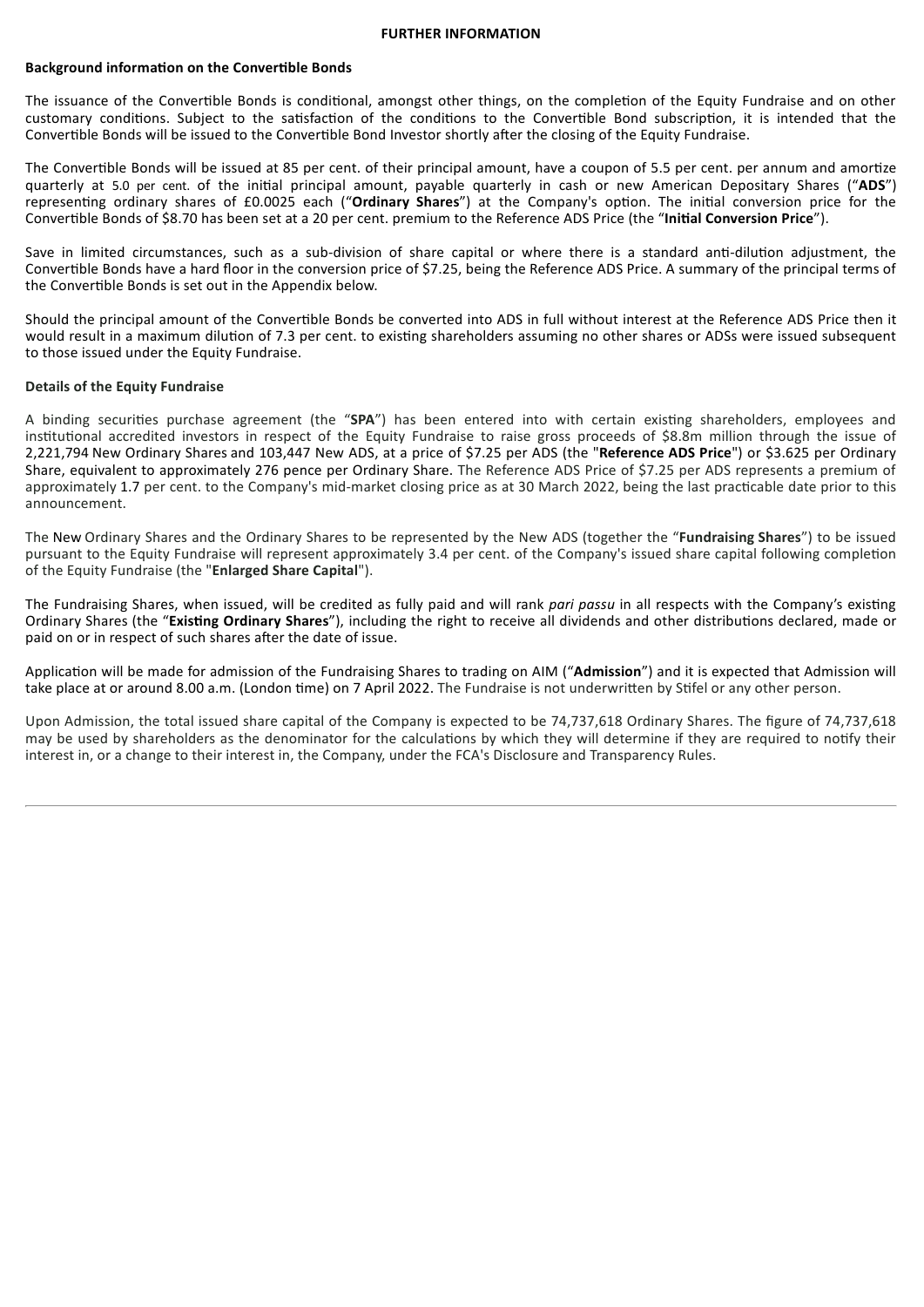#### **FURTHER INFORMATION**

#### **Background information on the Convertible Bonds**

The issuance of the Convertible Bonds is conditional, amongst other things, on the completion of the Equity Fundraise and on other customary conditions. Subject to the satisfaction of the conditions to the Convertible Bond subscription, it is intended that the Convertible Bonds will be issued to the Convertible Bond Investor shortly after the closing of the Equity Fundraise.

The Convertible Bonds will be issued at 85 per cent. of their principal amount, have a coupon of 5.5 per cent. per annum and amortize quarterly at 5.0 per cent. of the initial principal amount, payable quarterly in cash or new American Depositary Shares ("ADS") representing ordinary shares of £0.0025 each ("Ordinary Shares") at the Company's option. The initial conversion price for the Converble Bonds of \$8.70 has been set at a 20 per cent. premium to the Reference ADS Price (the "**Inial Conversion Price**").

Save in limited circumstances, such as a sub-division of share capital or where there is a standard anti-dilution adjustment, the Convertible Bonds have a hard floor in the conversion price of \$7.25, being the Reference ADS Price. A summary of the principal terms of the Convertible Bonds is set out in the Appendix below.

Should the principal amount of the Convertible Bonds be converted into ADS in full without interest at the Reference ADS Price then it would result in a maximum dilution of 7.3 per cent. to existing shareholders assuming no other shares or ADSs were issued subsequent to those issued under the Equity Fundraise.

#### **Details of the Equity Fundraise**

A binding securities purchase agreement (the "SPA") has been entered into with certain existing shareholders, employees and institutional accredited investors in respect of the Equity Fundraise to raise gross proceeds of \$8.8m million through the issue of 2,221,794 New Ordinary Shares and 103,447 New ADS, at a price of \$7.25 per ADS (the "**Reference ADS Price**") or \$3.625 per Ordinary Share, equivalent to approximately 276 pence per Ordinary Share. The Reference ADS Price of \$7.25 per ADS represents a premium of approximately 1.7 per cent. to the Company's mid-market closing price as at 30 March 2022, being the last practicable date prior to this announcement.

The New Ordinary Shares and the Ordinary Shares to be represented by the New ADS (together the "**Fundraising Shares**") to be issued pursuant to the Equity Fundraise will represent approximately 3.4 per cent. of the Company's issued share capital following completion of the Equity Fundraise (the "**Enlarged Share Capital**").

The Fundraising Shares, when issued, will be credited as fully paid and will rank *pari passu* in all respects with the Company's existing Ordinary Shares (the "Existing Ordinary Shares"), including the right to receive all dividends and other distributions declared, made or paid on or in respect of such shares after the date of issue.

Application will be made for admission of the Fundraising Shares to trading on AIM ("Admission") and it is expected that Admission will take place at or around 8.00 a.m. (London time) on 7 April 2022. The Fundraise is not underwritten by Stifel or any other person.

Upon Admission, the total issued share capital of the Company is expected to be 74,737,618 Ordinary Shares. The figure of 74,737,618 may be used by shareholders as the denominator for the calculations by which they will determine if they are required to notify their interest in, or a change to their interest in, the Company, under the FCA's Disclosure and Transparency Rules.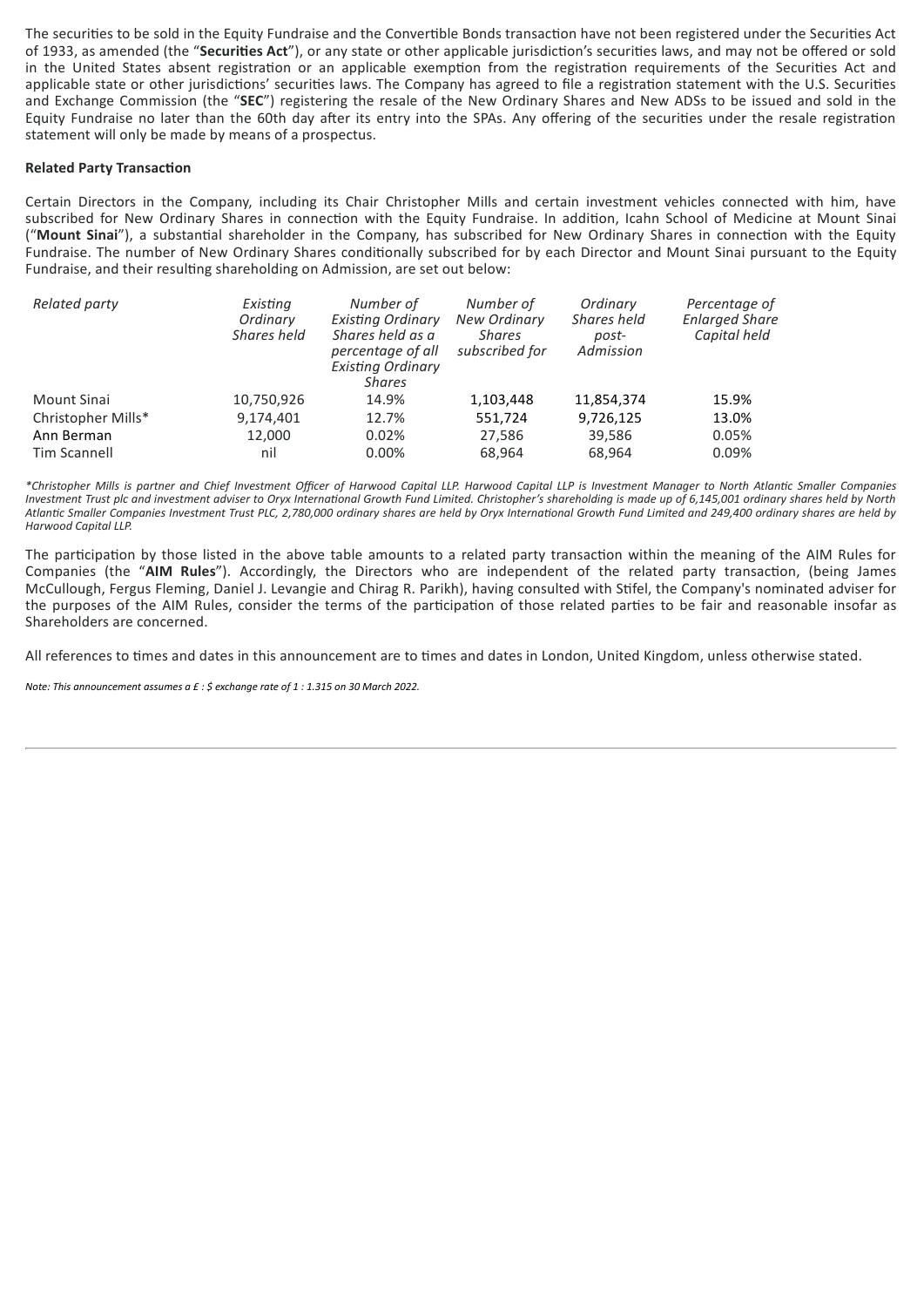The securities to be sold in the Equity Fundraise and the Convertible Bonds transaction have not been registered under the Securities Act of 1933, as amended (the "**Securies Act**"), or any state or other applicable jurisdicon's securies laws, and may not be offered or sold in the United States absent registration or an applicable exemption from the registration requirements of the Securities Act and applicable state or other jurisdictions' securities laws. The Company has agreed to file a registration statement with the U.S. Securities and Exchange Commission (the "**SEC**") registering the resale of the New Ordinary Shares and New ADSs to be issued and sold in the Equity Fundraise no later than the 60th day after its entry into the SPAs. Any offering of the securities under the resale registration statement will only be made by means of a prospectus.

#### **Related Party Transaction**

Certain Directors in the Company, including its Chair Christopher Mills and certain investment vehicles connected with him, have subscribed for New Ordinary Shares in connection with the Equity Fundraise. In addition, Icahn School of Medicine at Mount Sinai ("Mount Sinai"), a substantial shareholder in the Company, has subscribed for New Ordinary Shares in connection with the Equity Fundraise. The number of New Ordinary Shares conditionally subscribed for by each Director and Mount Sinai pursuant to the Equity Fundraise, and their resulting shareholding on Admission, are set out below:

| Related party      | Existing<br>Ordinary<br>Shares held | Number of<br><b>Existing Ordinary</b><br>Shares held as a<br>percentage of all<br><b>Existing Ordinary</b><br><b>Shares</b> | Number of<br><b>New Ordinary</b><br><b>Shares</b><br>subscribed for | Ordinary<br>Shares held<br>post-<br>Admission | Percentage of<br><b>Enlarged Share</b><br>Capital held |
|--------------------|-------------------------------------|-----------------------------------------------------------------------------------------------------------------------------|---------------------------------------------------------------------|-----------------------------------------------|--------------------------------------------------------|
| Mount Sinai        | 10,750,926                          | 14.9%                                                                                                                       | 1,103,448                                                           | 11,854,374                                    | 15.9%                                                  |
| Christopher Mills* | 9,174,401                           | 12.7%                                                                                                                       | 551,724                                                             | 9,726,125                                     | 13.0%                                                  |
| Ann Berman         | 12.000                              | 0.02%                                                                                                                       | 27,586                                                              | 39,586                                        | 0.05%                                                  |
| Tim Scannell       | nil                                 | 0.00%                                                                                                                       | 68.964                                                              | 68.964                                        | 0.09%                                                  |

\*Christopher Mills is partner and Chief Investment Officer of Harwood Capital LLP. Harwood Capital LLP is Investment Manager to North Atlantic Smaller Companies Investment Trust plc and investment adviser to Oryx International Growth Fund Limited. Christopher's shareholding is made up of 6,145,001 ordinary shares held by North Atlantic Smaller Companies Investment Trust PLC, 2,780,000 ordinary shares are held by Oryx International Growth Fund Limited and 249,400 ordinary shares are held by *Harwood Capital LLP.*

The participation by those listed in the above table amounts to a related party transaction within the meaning of the AIM Rules for Companies (the "AIM Rules"). Accordingly, the Directors who are independent of the related party transaction, (being James McCullough, Fergus Fleming, Daniel J. Levangie and Chirag R. Parikh), having consulted with Stifel, the Company's nominated adviser for the purposes of the AIM Rules, consider the terms of the participation of those related parties to be fair and reasonable insofar as Shareholders are concerned.

All references to times and dates in this announcement are to times and dates in London, United Kingdom, unless otherwise stated.

*Note: This announcement assumes a £ : \$ exchange rate of 1 : 1.315 on 30 March 2022.*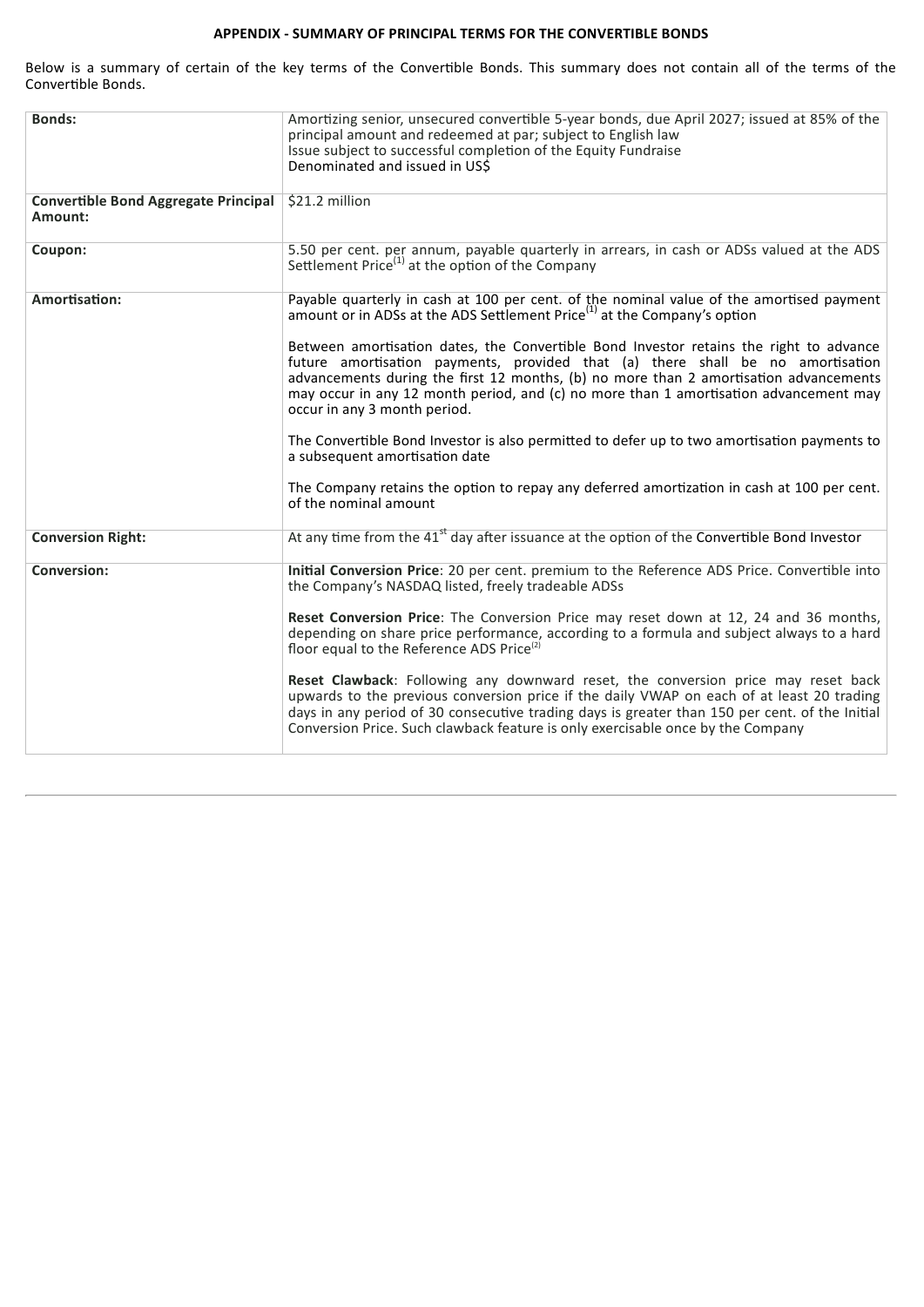# **APPENDIX - SUMMARY OF PRINCIPAL TERMS FOR THE CONVERTIBLE BONDS**

Below is a summary of certain of the key terms of the Convertible Bonds. This summary does not contain all of the terms of the Convertible Bonds.

| <b>Bonds:</b>                                          | Amortizing senior, unsecured convertible 5-year bonds, due April 2027; issued at 85% of the<br>principal amount and redeemed at par; subject to English law<br>Issue subject to successful completion of the Equity Fundraise<br>Denominated and issued in US\$                                                                                                                            |
|--------------------------------------------------------|--------------------------------------------------------------------------------------------------------------------------------------------------------------------------------------------------------------------------------------------------------------------------------------------------------------------------------------------------------------------------------------------|
| <b>Convertible Bond Aggregate Principal</b><br>Amount: | $$21.2$ million                                                                                                                                                                                                                                                                                                                                                                            |
| Coupon:                                                | 5.50 per cent. per annum, payable quarterly in arrears, in cash or ADSs valued at the ADS<br>Settlement Price $^{(1)}$ at the option of the Company                                                                                                                                                                                                                                        |
| Amortisation:                                          | Payable quarterly in cash at 100 per cent. of the nominal value of the amortised payment<br>amount or in ADSs at the ADS Settlement Price <sup>(1)</sup> at the Company's option                                                                                                                                                                                                           |
|                                                        | Between amortisation dates, the Convertible Bond Investor retains the right to advance<br>future amortisation payments, provided that (a) there shall be no amortisation<br>advancements during the first 12 months, (b) no more than 2 amortisation advancements<br>may occur in any 12 month period, and (c) no more than 1 amortisation advancement may<br>occur in any 3 month period. |
|                                                        | The Convertible Bond Investor is also permitted to defer up to two amortisation payments to<br>a subsequent amortisation date                                                                                                                                                                                                                                                              |
|                                                        | The Company retains the option to repay any deferred amortization in cash at 100 per cent.<br>of the nominal amount                                                                                                                                                                                                                                                                        |
| <b>Conversion Right:</b>                               | At any time from the $41st$ day after issuance at the option of the Convertible Bond Investor                                                                                                                                                                                                                                                                                              |
| <b>Conversion:</b>                                     | Initial Conversion Price: 20 per cent. premium to the Reference ADS Price. Convertible into<br>the Company's NASDAQ listed, freely tradeable ADSs                                                                                                                                                                                                                                          |
|                                                        | Reset Conversion Price: The Conversion Price may reset down at 12, 24 and 36 months,<br>depending on share price performance, according to a formula and subject always to a hard<br>floor equal to the Reference ADS Price <sup>(2)</sup>                                                                                                                                                 |
|                                                        | Reset Clawback: Following any downward reset, the conversion price may reset back<br>upwards to the previous conversion price if the daily VWAP on each of at least 20 trading<br>days in any period of 30 consecutive trading days is greater than 150 per cent. of the Initial<br>Conversion Price. Such clawback feature is only exercisable once by the Company                        |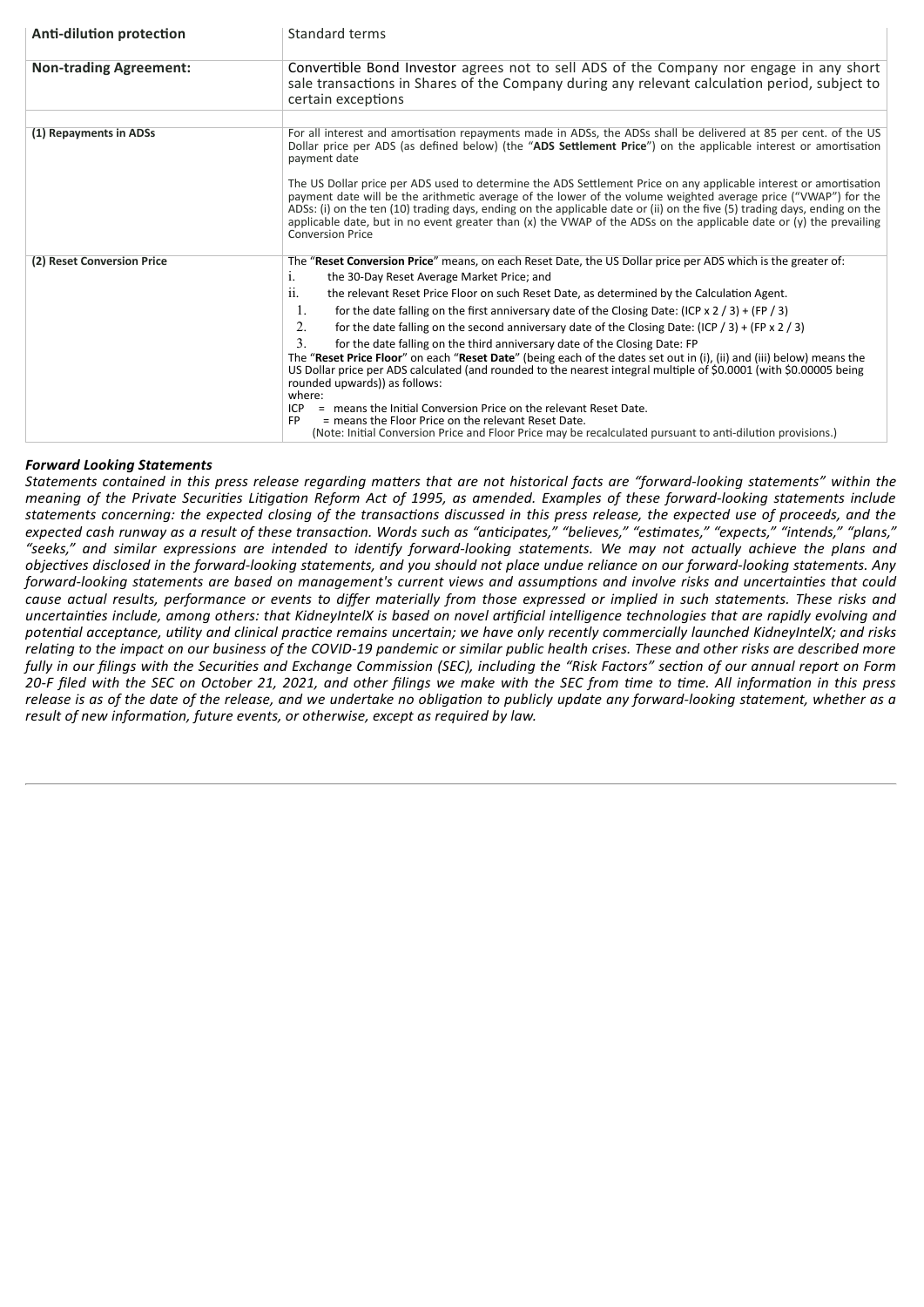| Anti-dilution protection      | Standard terms                                                                                                                                                                                                                                                                                                                                                                                                                                                                                                         |
|-------------------------------|------------------------------------------------------------------------------------------------------------------------------------------------------------------------------------------------------------------------------------------------------------------------------------------------------------------------------------------------------------------------------------------------------------------------------------------------------------------------------------------------------------------------|
| <b>Non-trading Agreement:</b> | Convertible Bond Investor agrees not to sell ADS of the Company nor engage in any short<br>sale transactions in Shares of the Company during any relevant calculation period, subject to<br>certain exceptions                                                                                                                                                                                                                                                                                                         |
|                               |                                                                                                                                                                                                                                                                                                                                                                                                                                                                                                                        |
| (1) Repayments in ADSs        | For all interest and amortisation repayments made in ADSs, the ADSs shall be delivered at 85 per cent. of the US<br>Dollar price per ADS (as defined below) (the "ADS Settlement Price") on the applicable interest or amortisation<br>payment date                                                                                                                                                                                                                                                                    |
|                               | The US Dollar price per ADS used to determine the ADS Settlement Price on any applicable interest or amortisation<br>payment date will be the arithmetic average of the lower of the volume weighted average price ("VWAP") for the<br>ADSs: (i) on the ten (10) trading days, ending on the applicable date or (ii) on the five (5) trading days, ending on the<br>applicable date, but in no event greater than $(x)$ the VWAP of the ADSs on the applicable date or $(y)$ the prevailing<br><b>Conversion Price</b> |
| (2) Reset Conversion Price    | The "Reset Conversion Price" means, on each Reset Date, the US Dollar price per ADS which is the greater of:<br>the 30-Day Reset Average Market Price; and<br>1.                                                                                                                                                                                                                                                                                                                                                       |
|                               | the relevant Reset Price Floor on such Reset Date, as determined by the Calculation Agent.<br>11.                                                                                                                                                                                                                                                                                                                                                                                                                      |
|                               | 1.<br>for the date falling on the first anniversary date of the Closing Date: (ICP $\times$ 2 / 3) + (FP / 3)                                                                                                                                                                                                                                                                                                                                                                                                          |
|                               | 2.<br>for the date falling on the second anniversary date of the Closing Date: (ICP / 3) + (FP x 2 / 3)                                                                                                                                                                                                                                                                                                                                                                                                                |
|                               | 3<br>for the date falling on the third anniversary date of the Closing Date: FP                                                                                                                                                                                                                                                                                                                                                                                                                                        |
|                               | The "Reset Price Floor" on each "Reset Date" (being each of the dates set out in (i), (ii) and (iii) below) means the<br>US Dollar price per ADS calculated (and rounded to the nearest integral multiple of \$0.0001 (with \$0.00005 being<br>rounded upwards)) as follows:<br>where:                                                                                                                                                                                                                                 |
|                               | = means the Initial Conversion Price on the relevant Reset Date.<br>ICP                                                                                                                                                                                                                                                                                                                                                                                                                                                |
|                               | = means the Floor Price on the relevant Reset Date.<br><b>FP</b><br>(Note: Initial Conversion Price and Floor Price may be recalculated pursuant to anti-dilution provisions.)                                                                                                                                                                                                                                                                                                                                         |

## *Forward Looking Statements*

Statements contained in this press release regarding matters that are not historical facts are "forward-looking statements" within the meaning of the Private Securities Litigation Reform Act of 1995, as amended. Examples of these forward-looking statements include statements concerning: the expected closing of the transactions discussed in this press release, the expected use of proceeds, and the expected cash runway as a result of these transaction. Words such as "anticipates," "believes," "estimates," "expects," "intends," "plans," "seeks," and similar expressions are intended to identify forward-looking statements. We may not actually achieve the plans and objectives disclosed in the forward-looking statements, and you should not place undue reliance on our forward-looking statements. Any forward-looking statements are based on management's current views and assumptions and involve risks and uncertainties that could cause actual results, performance or events to differ materially from those expressed or implied in such statements. These risks and uncertainties include, among others: that KidneyIntelX is based on novel artificial intelligence technologies that are rapidly evolving and potential acceptance, utility and clinical practice remains uncertain; we have only recently commercially launched KidneyIntelX; and risks relating to the impact on our business of the COVID-19 pandemic or similar public health crises. These and other risks are described more fully in our filings with the Securities and Exchange Commission (SEC), including the "Risk Factors" section of our annual report on Form 20-F filed with the SEC on October 21, 2021, and other filings we make with the SEC from time to time. All information in this press release is as of the date of the release, and we undertake no obligation to publicly update any forward-looking statement, whether as a *result* of new *information, future events, or otherwise, except as required by law.*